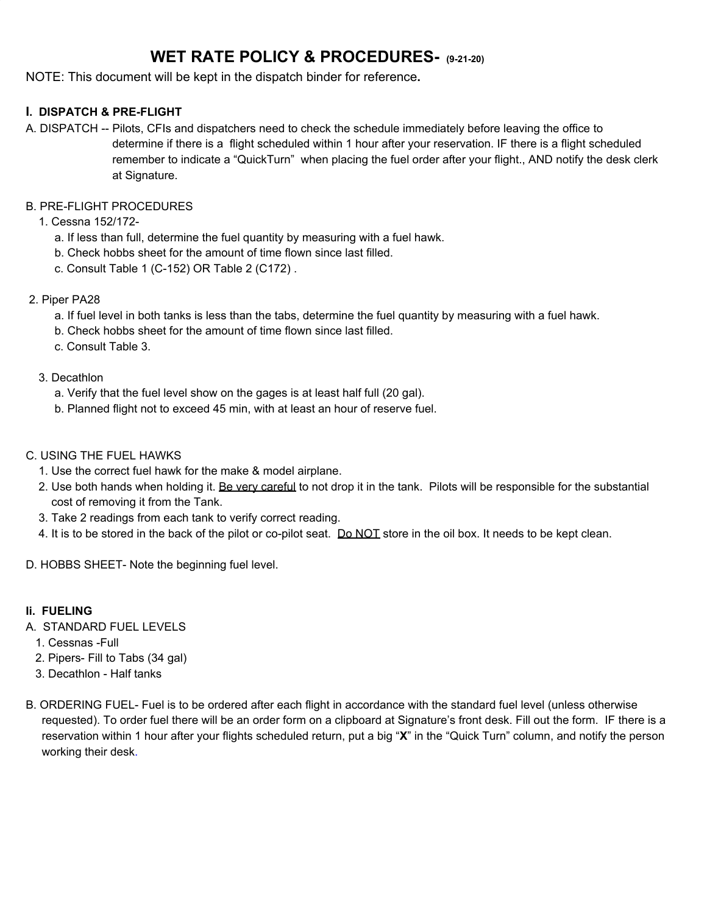# **WET RATE POLICY & PROCEDURES- (9-21-20)**

NOTE: This document will be kept in the dispatch binder for reference**.**

#### **I. DISPATCH & PRE-FLIGHT**

A. DISPATCH -- Pilots, CFIs and dispatchers need to check the schedule immediately before leaving the office to determine if there is a flight scheduled within 1 hour after your reservation. IF there is a flight scheduled remember to indicate a "QuickTurn" when placing the fuel order after your flight., AND notify the desk clerk at Signature.

#### B. PRE-FLIGHT PROCEDURES

- 1. Cessna 152/172
	- a. If less than full, determine the fuel quantity by measuring with a fuel hawk.
	- b. Check hobbs sheet for the amount of time flown since last filled.
	- c. Consult Table 1 (C-152) OR Table 2 (C172) .

#### 2. Piper PA28

- a. If fuel level in both tanks is less than the tabs, determine the fuel quantity by measuring with a fuel hawk.
- b. Check hobbs sheet for the amount of time flown since last filled.
- c. Consult Table 3.
- 3. Decathlon
	- a. Verify that the fuel level show on the gages is at least half full (20 gal).
	- b. Planned flight not to exceed 45 min, with at least an hour of reserve fuel.
- C. USING THE FUEL HAWKS
	- 1. Use the correct fuel hawk for the make & model airplane.
	- 2. Use both hands when holding it. Be very careful to not drop it in the tank. Pilots will be responsible for the substantial cost of removing it from the Tank.
	- 3. Take 2 readings from each tank to verify correct reading.
	- 4. It is to be stored in the back of the pilot or co-pilot seat. Do NOT store in the oil box. It needs to be kept clean.

D. HOBBS SHEET- Note the beginning fuel level.

#### **Ii. FUELING**

- A. STANDARD FUEL LEVELS
	- 1. Cessnas -Full
	- 2. Pipers- Fill to Tabs (34 gal)
	- 3. Decathlon Half tanks
- B. ORDERING FUEL- Fuel is to be ordered after each flight in accordance with the standard fuel level (unless otherwise requested). To order fuel there will be an order form on a clipboard at Signature's front desk. Fill out the form. IF there is a reservation within 1 hour after your flights scheduled return, put a big "**X**" in the "Quick Turn" column, and notify the person working their desk.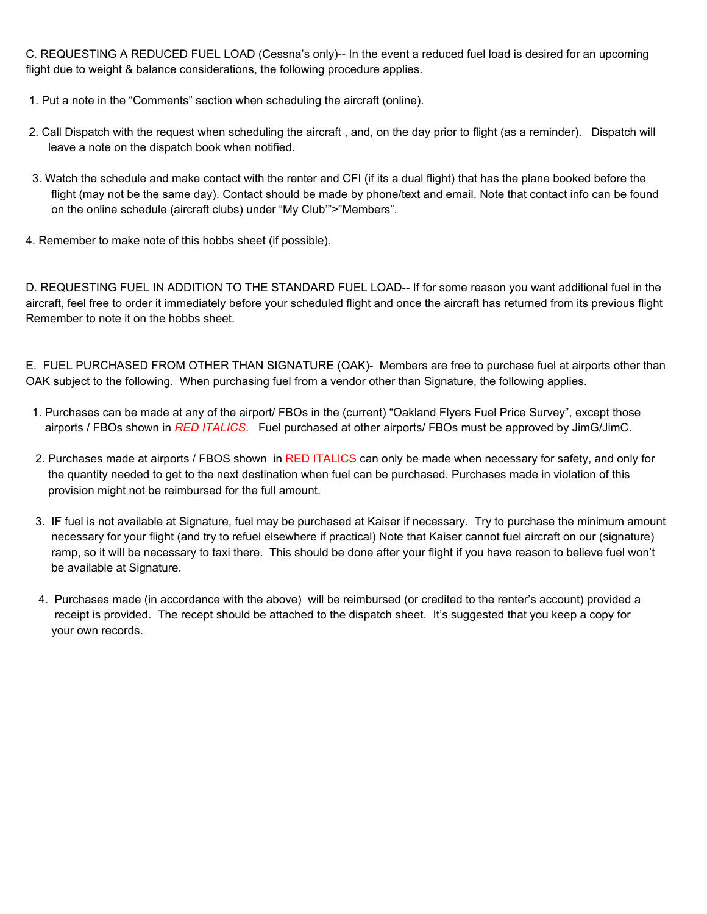C. REQUESTING A REDUCED FUEL LOAD (Cessna's only)-- In the event a reduced fuel load is desired for an upcoming flight due to weight & balance considerations, the following procedure applies.

- 1. Put a note in the "Comments" section when scheduling the aircraft (online).
- 2. Call Dispatch with the request when scheduling the aircraft, and, on the day prior to flight (as a reminder). Dispatch will leave a note on the dispatch book when notified.
- 3. Watch the schedule and make contact with the renter and CFI (if its a dual flight) that has the plane booked before the flight (may not be the same day). Contact should be made by phone/text and email. Note that contact info can be found on the online schedule (aircraft clubs) under "My Club'">"Members".
- 4. Remember to make note of this hobbs sheet (if possible).

D. REQUESTING FUEL IN ADDITION TO THE STANDARD FUEL LOAD-- If for some reason you want additional fuel in the aircraft, feel free to order it immediately before your scheduled flight and once the aircraft has returned from its previous flight Remember to note it on the hobbs sheet.

E. FUEL PURCHASED FROM OTHER THAN SIGNATURE (OAK)- Members are free to purchase fuel at airports other than OAK subject to the following. When purchasing fuel from a vendor other than Signature, the following applies.

- 1. Purchases can be made at any of the airport/ FBOs in the (current) "Oakland Flyers Fuel Price Survey", except those airports / FBOs shown in *RED ITALICS*. Fuel purchased at other airports/ FBOs must be approved by JimG/JimC.
- 2. Purchases made at airports / FBOS shown in RED ITALICS can only be made when necessary for safety, and only for the quantity needed to get to the next destination when fuel can be purchased. Purchases made in violation of this provision might not be reimbursed for the full amount.
- 3. IF fuel is not available at Signature, fuel may be purchased at Kaiser if necessary. Try to purchase the minimum amount necessary for your flight (and try to refuel elsewhere if practical) Note that Kaiser cannot fuel aircraft on our (signature) ramp, so it will be necessary to taxi there. This should be done after your flight if you have reason to believe fuel won't be available at Signature.
- 4. Purchases made (in accordance with the above) will be reimbursed (or credited to the renter's account) provided a receipt is provided. The recept should be attached to the dispatch sheet. It's suggested that you keep a copy for your own records.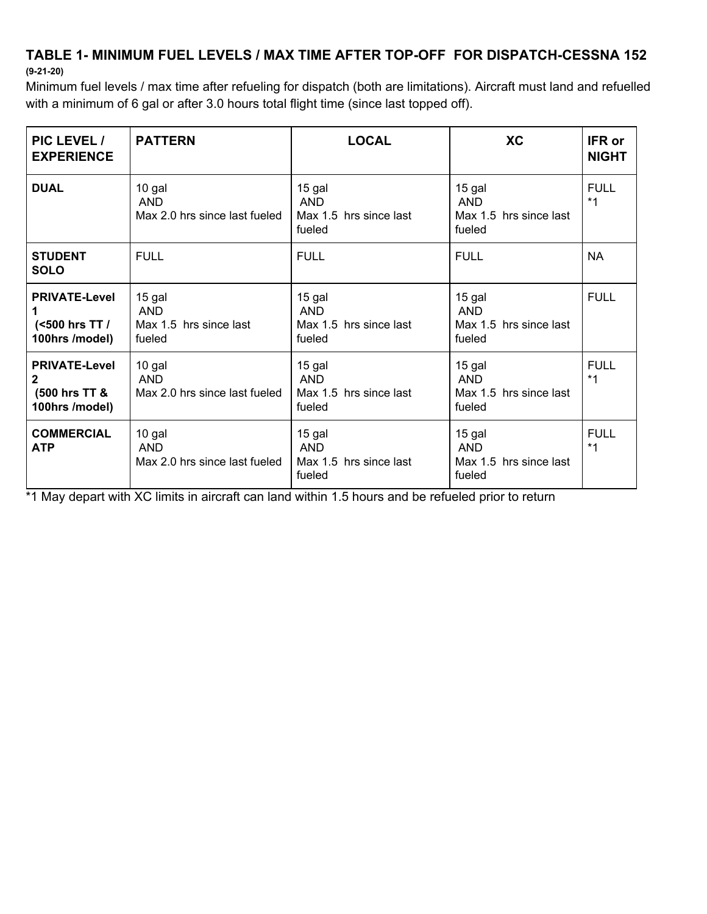## **TABLE 1- MINIMUM FUEL LEVELS / MAX TIME AFTER TOP-OFF FOR DISPATCH-CESSNA 152 (9-21-20)**

Minimum fuel levels / max time after refueling for dispatch (both are limitations). Aircraft must land and refuelled with a minimum of 6 gal or after 3.0 hours total flight time (since last topped off).

| PIC LEVEL /<br><b>EXPERIENCE</b>                              | <b>PATTERN</b>                                           | <b>LOCAL</b>                                             | <b>XC</b>                                                | <b>IFR or</b><br><b>NIGHT</b> |
|---------------------------------------------------------------|----------------------------------------------------------|----------------------------------------------------------|----------------------------------------------------------|-------------------------------|
| <b>DUAL</b>                                                   | 10 gal<br><b>AND</b><br>Max 2.0 hrs since last fueled    | 15 gal<br><b>AND</b><br>Max 1.5 hrs since last<br>fueled | 15 gal<br><b>AND</b><br>Max 1.5 hrs since last<br>fueled | <b>FULL</b><br>$*1$           |
| <b>STUDENT</b><br><b>SOLO</b>                                 | <b>FULL</b>                                              | <b>FULL</b>                                              | <b>FULL</b>                                              | <b>NA</b>                     |
| <b>PRIVATE-Level</b><br>1<br>(<500 hrs TT /<br>100hrs /model) | 15 gal<br><b>AND</b><br>Max 1.5 hrs since last<br>fueled | 15 gal<br><b>AND</b><br>Max 1.5 hrs since last<br>fueled | 15 gal<br><b>AND</b><br>Max 1.5 hrs since last<br>fueled | <b>FULL</b>                   |
| <b>PRIVATE-Level</b><br>2<br>(500 hrs TT &<br>100hrs /model)  | 10 gal<br><b>AND</b><br>Max 2.0 hrs since last fueled    | 15 gal<br><b>AND</b><br>Max 1.5 hrs since last<br>fueled | 15 gal<br><b>AND</b><br>Max 1.5 hrs since last<br>fueled | <b>FULL</b><br>$*1$           |
| <b>COMMERCIAL</b><br><b>ATP</b>                               | 10 gal<br><b>AND</b><br>Max 2.0 hrs since last fueled    | 15 gal<br><b>AND</b><br>Max 1.5 hrs since last<br>fueled | 15 gal<br><b>AND</b><br>Max 1.5 hrs since last<br>fueled | <b>FULL</b><br>$*1$           |

\*1 May depart with XC limits in aircraft can land within 1.5 hours and be refueled prior to return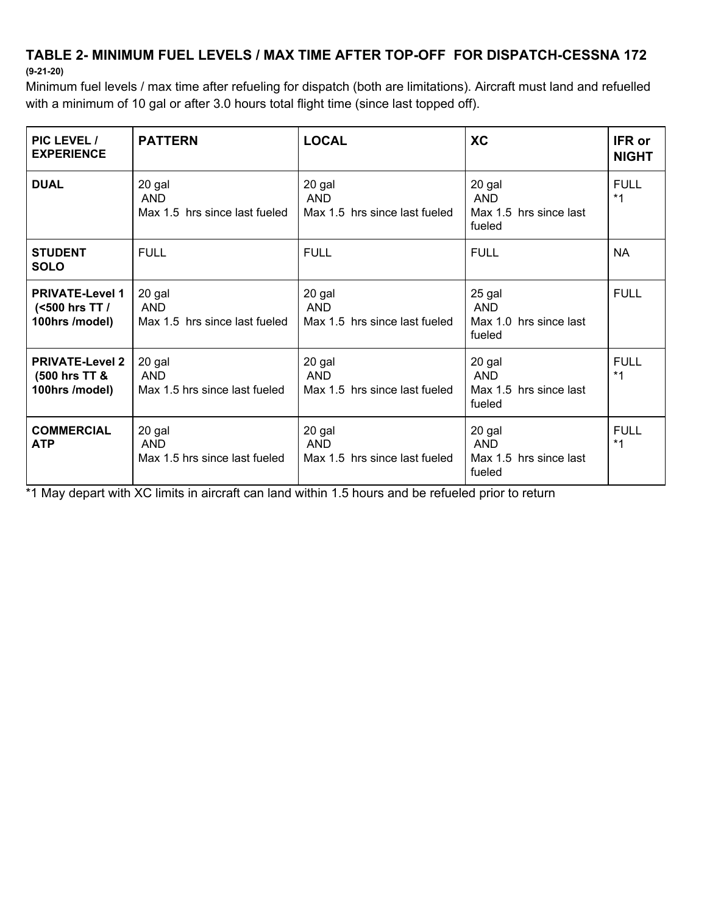### **TABLE 2- MINIMUM FUEL LEVELS / MAX TIME AFTER TOP-OFF FOR DISPATCH-CESSNA 172 (9-21-20)**

Minimum fuel levels / max time after refueling for dispatch (both are limitations). Aircraft must land and refuelled with a minimum of 10 gal or after 3.0 hours total flight time (since last topped off).

| PIC LEVEL /<br><b>EXPERIENCE</b>                           | <b>PATTERN</b>                                        | <b>LOCAL</b>                                          | <b>XC</b>                                                | <b>IFR or</b><br><b>NIGHT</b> |
|------------------------------------------------------------|-------------------------------------------------------|-------------------------------------------------------|----------------------------------------------------------|-------------------------------|
| <b>DUAL</b>                                                | 20 gal<br><b>AND</b><br>Max 1.5 hrs since last fueled | 20 gal<br>AND<br>Max 1.5 hrs since last fueled        | 20 gal<br><b>AND</b><br>Max 1.5 hrs since last<br>fueled | <b>FULL</b><br>$*1$           |
| <b>STUDENT</b><br><b>SOLO</b>                              | <b>FULL</b>                                           | <b>FULL</b>                                           | <b>FULL</b>                                              | <b>NA</b>                     |
| <b>PRIVATE-Level 1</b><br>(<500 hrs TT /<br>100hrs /model) | 20 gal<br><b>AND</b><br>Max 1.5 hrs since last fueled | 20 gal<br><b>AND</b><br>Max 1.5 hrs since last fueled | 25 gal<br><b>AND</b><br>Max 1.0 hrs since last<br>fueled | <b>FULL</b>                   |
| <b>PRIVATE-Level 2</b><br>(500 hrs TT &<br>100hrs /model)  | 20 gal<br><b>AND</b><br>Max 1.5 hrs since last fueled | 20 gal<br><b>AND</b><br>Max 1.5 hrs since last fueled | 20 gal<br><b>AND</b><br>Max 1.5 hrs since last<br>fueled | <b>FULL</b><br>$*1$           |
| <b>COMMERCIAL</b><br><b>ATP</b>                            | 20 gal<br><b>AND</b><br>Max 1.5 hrs since last fueled | 20 gal<br><b>AND</b><br>Max 1.5 hrs since last fueled | 20 gal<br><b>AND</b><br>Max 1.5 hrs since last<br>fueled | <b>FULL</b><br>$*1$           |

\*1 May depart with XC limits in aircraft can land within 1.5 hours and be refueled prior to return